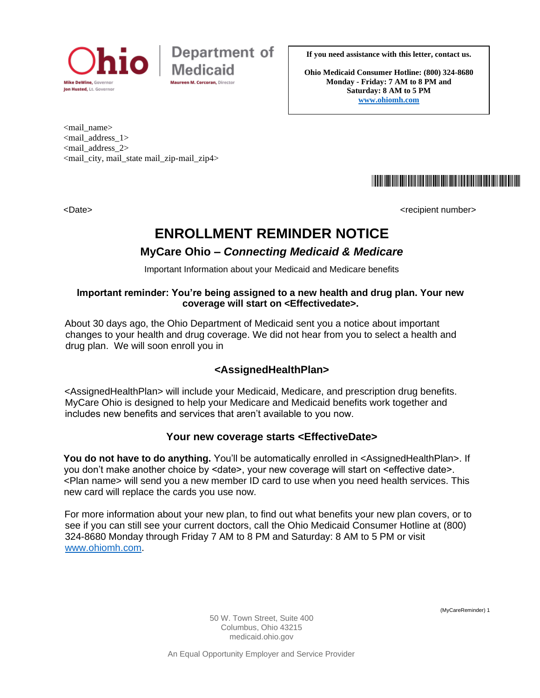



**If you need assistance with this letter, contact us.**

**Ohio Medicaid Consumer Hotline: (800) 324-8680 Monday - Friday: 7 AM to 8 PM and Saturday: 8 AM to 5 PM [www.ohiomh.com](http://www.ohiomh.com/)**

<mail\_name> <mail\_address\_1> <mail\_address\_2> <mail\_city, mail\_state mail\_zip-mail\_zip4>

<u> 1999 - Johann John Harry Maria (f. 1989)</u>

<Date>
<br/>
<br/>
<br/>
<br/>
<br/>
<br/>
<br/>
<br/>
<br/>
<<br/>
<<br/>
<<br/>
<<br/>
<<br/>
<<br/>
<<br/>
<<br/>
<<br/>
<<br/>
<<br/>
<<br/>
<<br/>
<<br/>
<<br/>
<<br/>
<<br/>
<<br/>
<<br/>
<<br/>
<<br/>
<<<<<<<<<<<<<<

# **ENROLLMENT REMINDER NOTICE**

## **MyCare Ohio –** *Connecting Medicaid & Medicare*

Important Information about your Medicaid and Medicare benefits

#### **Important reminder: You're being assigned to a new health and drug plan. Your new coverage will start on <Effectivedate>.**

About 30 days ago, the Ohio Department of Medicaid sent you a notice about important changes to your health and drug coverage. We did not hear from you to select a health and drug plan. We will soon enroll you in

## **<AssignedHealthPlan>**

<AssignedHealthPlan> will include your Medicaid, Medicare, and prescription drug benefits. MyCare Ohio is designed to help your Medicare and Medicaid benefits work together and includes new benefits and services that aren't available to you now.

#### **Your new coverage starts <EffectiveDate>**

**You do not have to do anything.** You'll be automatically enrolled in <AssignedHealthPlan>. If you don't make another choice by <date>, your new coverage will start on <effective date>. <Plan name> will send you a new member ID card to use when you need health services. This new card will replace the cards you use now.

For more information about your new plan, to find out what benefits your new plan covers, or to see if you can still see your current doctors, call the Ohio Medicaid Consumer Hotline at (800) 324-8680 Monday through Friday 7 AM to 8 PM and Saturday: 8 AM to 5 PM or visit [www.ohiomh.com.](http://www.ohiomh.com/)

(MyCareReminder) 1

50 W. Town Street, Suite 400 Columbus, Ohio 43215 medicaid.ohio.gov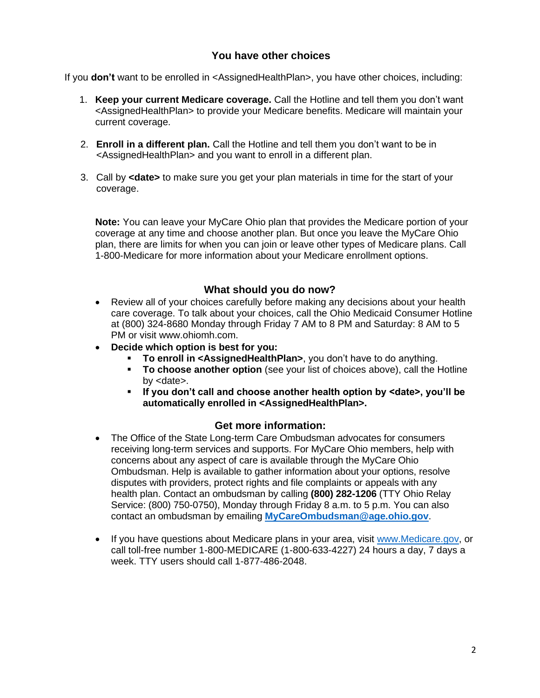#### **You have other choices**

If you **don't** want to be enrolled in <AssignedHealthPlan>, you have other choices, including:

- 1. **Keep your current Medicare coverage.** Call the Hotline and tell them you don't want <AssignedHealthPlan> to provide your Medicare benefits. Medicare will maintain your current coverage.
- 2. **Enroll in a different plan.** Call the Hotline and tell them you don't want to be in <AssignedHealthPlan> and you want to enroll in a different plan.
- 3. Call by **<date>** to make sure you get your plan materials in time for the start of your coverage.

**Note:** You can leave your MyCare Ohio plan that provides the Medicare portion of your coverage at any time and choose another plan. But once you leave the MyCare Ohio plan, there are limits for when you can join or leave other types of Medicare plans. Call 1-800-Medicare for more information about your Medicare enrollment options.

#### **What should you do now?**

- Review all of your choices carefully before making any decisions about your health care coverage. To talk about your choices, call the Ohio Medicaid Consumer Hotline at (800) 324-8680 Monday through Friday 7 AM to 8 PM and Saturday: 8 AM to 5 PM or visit www.ohiomh.com.
- **Decide which option is best for you:**
	- To enroll in <AssignedHealthPlan>, you don't have to do anything.
	- **To choose another option** (see your list of choices above), call the Hotline by <date>.
	- **If you don't call and choose another health option by <date>, you'll be automatically enrolled in <AssignedHealthPlan>.**

#### **Get more information:**

- The Office of the State Long-term Care Ombudsman advocates for consumers receiving long-term services and supports. For MyCare Ohio members, help with concerns about any aspect of care is available through the MyCare Ohio Ombudsman. Help is available to gather information about your options, resolve disputes with providers, protect rights and file complaints or appeals with any health plan. Contact an ombudsman by calling **(800) 282-1206** (TTY Ohio Relay Service: (800) 750-0750), Monday through Friday 8 a.m. to 5 p.m. You can also contact an ombudsman by emailing **MyCareOmbudsman@age.ohio.gov**.
- If you have questions about Medicare plans in your area, visit [www.Medicare.gov,](http://www.medicare.gov/) or call toll-free number 1-800-MEDICARE (1-800-633-4227) 24 hours a day, 7 days a week. TTY users should call 1-877-486-2048.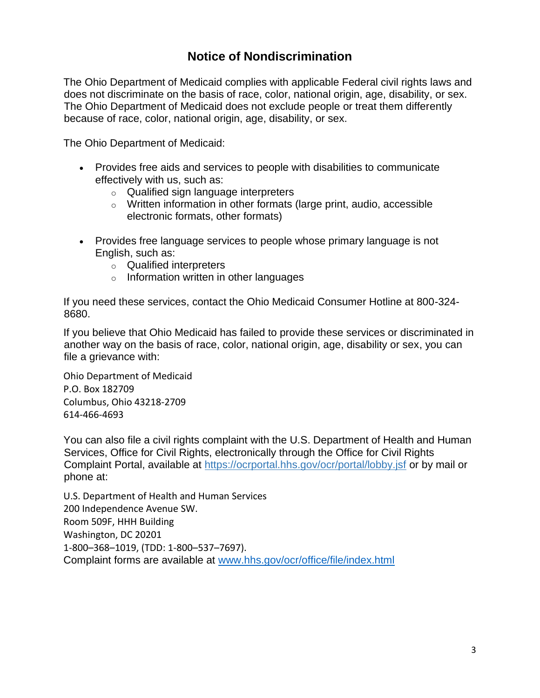## **Notice of Nondiscrimination**

The Ohio Department of Medicaid complies with applicable Federal civil rights laws and does not discriminate on the basis of race, color, national origin, age, disability, or sex. The Ohio Department of Medicaid does not exclude people or treat them differently because of race, color, national origin, age, disability, or sex.

The Ohio Department of Medicaid:

- Provides free aids and services to people with disabilities to communicate effectively with us, such as:
	- o Qualified sign language interpreters
	- o Written information in other formats (large print, audio, accessible electronic formats, other formats)
- Provides free language services to people whose primary language is not English, such as:
	- o Qualified interpreters
	- o Information written in other languages

If you need these services, contact the Ohio Medicaid Consumer Hotline at 800-324- 8680.

If you believe that Ohio Medicaid has failed to provide these services or discriminated in another way on the basis of race, color, national origin, age, disability or sex, you can file a grievance with:

Ohio Department of Medicaid P.O. Box 182709 Columbus, Ohio 43218-2709 614-466-4693

You can also file a civil rights complaint with the U.S. Department of Health and Human Services, Office for Civil Rights, electronically through the Office for Civil Rights Complaint Portal, available at<https://ocrportal.hhs.gov/ocr/portal/lobby.jsf> or by mail or phone at:

U.S. Department of Health and Human Services 200 Independence Avenue SW. Room 509F, HHH Building Washington, DC 20201 1-800–368–1019, (TDD: 1-800–537–7697). Complaint forms are available at [www.hhs.gov/ocr/office/file/index.html](http://www.hhs.gov/ocr/office/file/index.html)